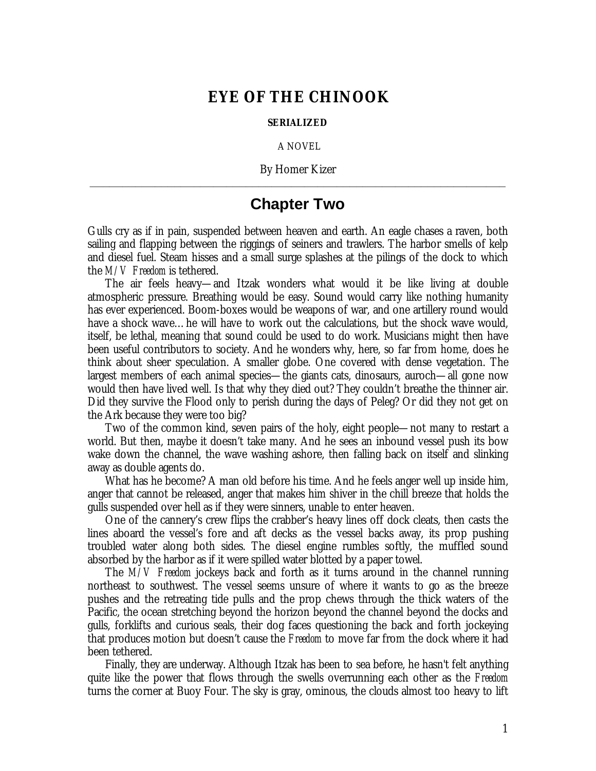## **EYE OF THE CHINOOK**

## **SERIALIZED**

A NOVEL

By Homer Kizer **\_\_\_\_\_\_\_\_\_\_\_\_\_\_\_\_\_\_\_\_\_\_\_\_\_\_\_\_\_\_\_\_\_\_\_\_\_\_\_\_\_\_\_\_\_\_\_\_\_\_\_\_\_\_\_\_\_\_\_\_\_\_\_\_**

## **Chapter Two**

Gulls cry as if in pain, suspended between heaven and earth. An eagle chases a raven, both sailing and flapping between the riggings of seiners and trawlers. The harbor smells of kelp and diesel fuel. Steam hisses and a small surge splashes at the pilings of the dock to which the *M/V Freedom* is tethered.

The air feels heavy— and Itzak wonders what would it be like living at double atmospheric pressure. Breathing would be easy. Sound would carry like nothing humanity has ever experienced. Boom-boxes would be weapons of war, and one artillery round would have a shock wave… he will have to work out the calculations, but the shock wave would, itself, be lethal, meaning that sound could be used to do work. Musicians might then have been useful contributors to society. And he wonders why, here, so far from home, does he think about sheer speculation. A smaller globe. One covered with dense vegetation. The largest members of each animal species— the giants cats, dinosaurs, auroch— all gone now would then have lived well. Is that why they died out? They couldn't breathe the thinner air. Did they survive the Flood only to perish during the days of Peleg? Or did they not get on the Ark because they were too big?

Two of the common kind, seven pairs of the holy, eight people— not many to restart a world. But then, maybe it doesn't take many. And he sees an inbound vessel push its bow wake down the channel, the wave washing ashore, then falling back on itself and slinking away as double agents do.

What has he become? A man old before his time. And he feels anger well up inside him, anger that cannot be released, anger that makes him shiver in the chill breeze that holds the gulls suspended over hell as if they were sinners, unable to enter heaven.

One of the cannery's crew flips the crabber's heavy lines off dock cleats, then casts the lines aboard the vessel's fore and aft decks as the vessel backs away, its prop pushing troubled water along both sides. The diesel engine rumbles softly, the muffled sound absorbed by the harbor as if it were spilled water blotted by a paper towel.

The *M/V Freedom* jockeys back and forth as it turns around in the channel running northeast to southwest. The vessel seems unsure of where it wants to go as the breeze pushes and the retreating tide pulls and the prop chews through the thick waters of the Pacific, the ocean stretching beyond the horizon beyond the channel beyond the docks and gulls, forklifts and curious seals, their dog faces questioning the back and forth jockeying that produces motion but doesn't cause the *Freedom* to move far from the dock where it had been tethered.

Finally, they are underway. Although Itzak has been to sea before, he hasn't felt anything quite like the power that flows through the swells overrunning each other as the *Freedom* turns the corner at Buoy Four. The sky is gray, ominous, the clouds almost too heavy to lift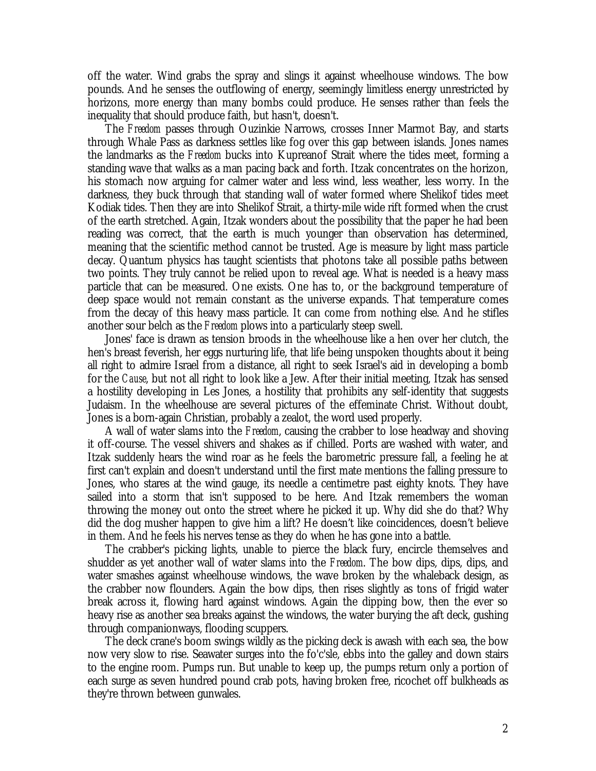off the water. Wind grabs the spray and slings it against wheelhouse windows. The bow pounds. And he senses the outflowing of energy, seemingly limitless energy unrestricted by horizons, more energy than many bombs could produce. He senses rather than feels the inequality that should produce faith, but hasn't, doesn't.

The *Freedom* passes through Ouzinkie Narrows, crosses Inner Marmot Bay, and starts through Whale Pass as darkness settles like fog over this gap between islands. Jones names the landmarks as the *Freedom* bucks into Kupreanof Strait where the tides meet, forming a standing wave that walks as a man pacing back and forth. Itzak concentrates on the horizon, his stomach now arguing for calmer water and less wind, less weather, less worry. In the darkness, they buck through that standing wall of water formed where Shelikof tides meet Kodiak tides. Then they are into Shelikof Strait, a thirty-mile wide rift formed when the crust of the earth stretched. Again, Itzak wonders about the possibility that the paper he had been reading was correct, that the earth is much younger than observation has determined, meaning that the scientific method cannot be trusted. Age is measure by light mass particle decay. Quantum physics has taught scientists that photons take all possible paths between two points. They truly cannot be relied upon to reveal age. What is needed is a heavy mass particle that can be measured. One exists. One has to, or the background temperature of deep space would not remain constant as the universe expands. That temperature comes from the decay of this heavy mass particle. It can come from nothing else. And he stifles another sour belch as the *Freedom* plows into a particularly steep swell.

Jones' face is drawn as tension broods in the wheelhouse like a hen over her clutch, the hen's breast feverish, her eggs nurturing life, that life being unspoken thoughts about it being all right to admire Israel from a distance, all right to seek Israel's aid in developing a bomb for the *Cause*, but not all right to look like a Jew. After their initial meeting, Itzak has sensed a hostility developing in Les Jones, a hostility that prohibits any self-identity that suggests Judaism. In the wheelhouse are several pictures of the effeminate Christ. Without doubt, Jones is a born-again Christian, probably a zealot, the word used properly.

A wall of water slams into the *Freedom*, causing the crabber to lose headway and shoving it off-course. The vessel shivers and shakes as if chilled. Ports are washed with water, and Itzak suddenly hears the wind roar as he feels the barometric pressure fall, a feeling he at first can't explain and doesn't understand until the first mate mentions the falling pressure to Jones, who stares at the wind gauge, its needle a centimetre past eighty knots. They have sailed into a storm that isn't supposed to be here. And Itzak remembers the woman throwing the money out onto the street where he picked it up. Why did she do that? Why did the dog musher happen to give him a lift? He doesn't like coincidences, doesn't believe in them. And he feels his nerves tense as they do when he has gone into a battle.

The crabber's picking lights, unable to pierce the black fury, encircle themselves and shudder as yet another wall of water slams into the *Freedom*. The bow dips, dips, dips, and water smashes against wheelhouse windows, the wave broken by the whaleback design, as the crabber now flounders. Again the bow dips, then rises slightly as tons of frigid water break across it, flowing hard against windows. Again the dipping bow, then the ever so heavy rise as another sea breaks against the windows, the water burying the aft deck, gushing through companionways, flooding scuppers.

The deck crane's boom swings wildly as the picking deck is awash with each sea, the bow now very slow to rise. Seawater surges into the fo'c'sle, ebbs into the galley and down stairs to the engine room. Pumps run. But unable to keep up, the pumps return only a portion of each surge as seven hundred pound crab pots, having broken free, ricochet off bulkheads as they're thrown between gunwales.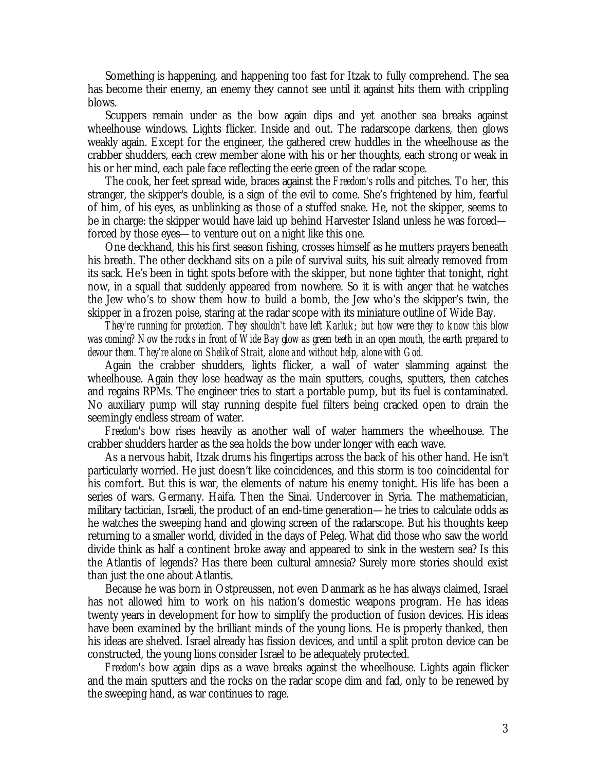Something is happening, and happening too fast for Itzak to fully comprehend. The sea has become their enemy, an enemy they cannot see until it against hits them with crippling blows.

Scuppers remain under as the bow again dips and yet another sea breaks against wheelhouse windows. Lights flicker. Inside and out. The radarscope darkens, then glows weakly again. Except for the engineer, the gathered crew huddles in the wheelhouse as the crabber shudders, each crew member alone with his or her thoughts, each strong or weak in his or her mind, each pale face reflecting the eerie green of the radar scope.

The cook, her feet spread wide, braces against the *Freedom's* rolls and pitches. To her, this stranger, the skipper's double, is a sign of the evil to come. She's frightened by him, fearful of him, of his eyes, as unblinking as those of a stuffed snake. He, not the skipper, seems to be in charge: the skipper would have laid up behind Harvester Island unless he was forced forced by those eyes— to venture out on a night like this one.

One deckhand, this his first season fishing, crosses himself as he mutters prayers beneath his breath. The other deckhand sits on a pile of survival suits, his suit already removed from its sack. He's been in tight spots before with the skipper, but none tighter that tonight, right now, in a squall that suddenly appeared from nowhere. So it is with anger that he watches the Jew who's to show them how to build a bomb, the Jew who's the skipper's twin, the skipper in a frozen poise, staring at the radar scope with its miniature outline of Wide Bay.

*They're running for protection. They shouldn't have left Karluk; but how were they to know this blow was coming? Now the rocks in front of Wide Bay glow as green teeth in an open mouth, the earth prepared to devour them. They're alone on Shelikof Strait, alone and without help, alone with God.*

Again the crabber shudders, lights flicker, a wall of water slamming against the wheelhouse. Again they lose headway as the main sputters, coughs, sputters, then catches and regains RPMs. The engineer tries to start a portable pump, but its fuel is contaminated. No auxiliary pump will stay running despite fuel filters being cracked open to drain the seemingly endless stream of water.

*Freedom's* bow rises heavily as another wall of water hammers the wheelhouse. The crabber shudders harder as the sea holds the bow under longer with each wave.

As a nervous habit, Itzak drums his fingertips across the back of his other hand. He isn't particularly worried. He just doesn't like coincidences, and this storm is too coincidental for his comfort. But this is war, the elements of nature his enemy tonight. His life has been a series of wars. Germany. Haifa. Then the Sinai. Undercover in Syria. The mathematician, military tactician, Israeli, the product of an end-time generation— he tries to calculate odds as he watches the sweeping hand and glowing screen of the radarscope. But his thoughts keep returning to a smaller world, divided in the days of Peleg. What did those who saw the world divide think as half a continent broke away and appeared to sink in the western sea? Is this the Atlantis of legends? Has there been cultural amnesia? Surely more stories should exist than just the one about Atlantis.

Because he was born in Ostpreussen, not even Danmark as he has always claimed, Israel has not allowed him to work on his nation's domestic weapons program. He has ideas twenty years in development for how to simplify the production of fusion devices. His ideas have been examined by the brilliant minds of the young lions. He is properly thanked, then his ideas are shelved. Israel already has fission devices, and until a split proton device can be constructed, the young lions consider Israel to be adequately protected.

*Freedom's* bow again dips as a wave breaks against the wheelhouse. Lights again flicker and the main sputters and the rocks on the radar scope dim and fad, only to be renewed by the sweeping hand, as war continues to rage.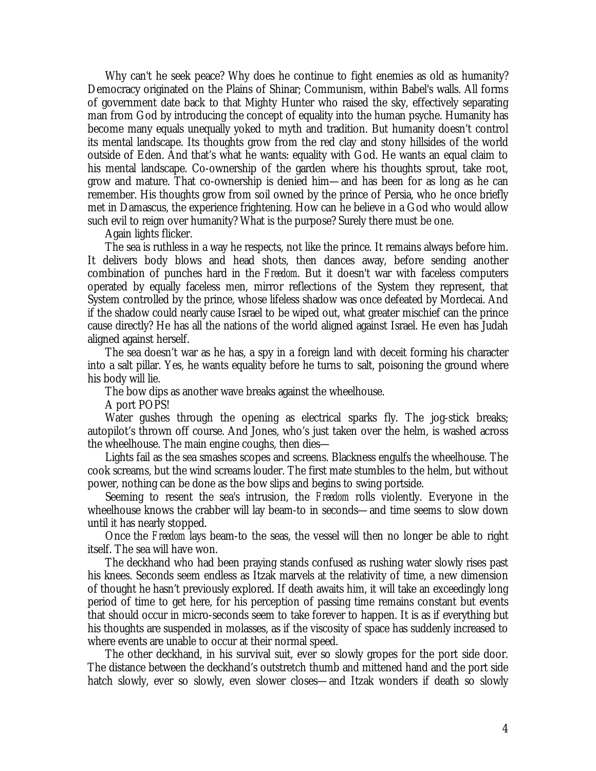Why can't he seek peace? Why does he continue to fight enemies as old as humanity? Democracy originated on the Plains of Shinar; Communism, within Babel's walls. All forms of government date back to that Mighty Hunter who raised the sky, effectively separating man from God by introducing the concept of equality into the human psyche. Humanity has become many equals unequally yoked to myth and tradition. But humanity doesn't control its mental landscape. Its thoughts grow from the red clay and stony hillsides of the world outside of Eden. And that's what he wants: equality with God. He wants an equal claim to his mental landscape. Co-ownership of the garden where his thoughts sprout, take root, grow and mature. That co-ownership is denied him— and has been for as long as he can remember. His thoughts grow from soil owned by the prince of Persia, who he once briefly met in Damascus, the experience frightening. How can he believe in a God who would allow such evil to reign over humanity? What is the purpose? Surely there must be one.

Again lights flicker.

The sea is ruthless in a way he respects, not like the prince. It remains always before him. It delivers body blows and head shots, then dances away, before sending another combination of punches hard in the *Freedom*. But it doesn't war with faceless computers operated by equally faceless men, mirror reflections of the System they represent, that System controlled by the prince, whose lifeless shadow was once defeated by Mordecai. And if the shadow could nearly cause Israel to be wiped out, what greater mischief can the prince cause directly? He has all the nations of the world aligned against Israel. He even has Judah aligned against herself.

The sea doesn't war as he has, a spy in a foreign land with deceit forming his character into a salt pillar. Yes, he wants equality before he turns to salt, poisoning the ground where his body will lie.

The bow dips as another wave breaks against the wheelhouse.

A port POPS!

Water gushes through the opening as electrical sparks fly. The jog-stick breaks; autopilot's thrown off course. And Jones, who's just taken over the helm, is washed across the wheelhouse. The main engine coughs, then dies—

Lights fail as the sea smashes scopes and screens. Blackness engulfs the wheelhouse. The cook screams, but the wind screams louder. The first mate stumbles to the helm, but without power, nothing can be done as the bow slips and begins to swing portside.

Seeming to resent the sea's intrusion, the *Freedom* rolls violently. Everyone in the wheelhouse knows the crabber will lay beam-to in seconds— and time seems to slow down until it has nearly stopped.

Once the *Freedom* lays beam-to the seas, the vessel will then no longer be able to right itself. The sea will have won.

The deckhand who had been praying stands confused as rushing water slowly rises past his knees. Seconds seem endless as Itzak marvels at the relativity of time, a new dimension of thought he hasn't previously explored. If death awaits him, it will take an exceedingly long period of time to get here, for his perception of passing time remains constant but events that should occur in micro-seconds seem to take forever to happen. It is as if everything but his thoughts are suspended in molasses, as if the viscosity of space has suddenly increased to where events are unable to occur at their normal speed.

The other deckhand, in his survival suit, ever so slowly gropes for the port side door. The distance between the deckhand's outstretch thumb and mittened hand and the port side hatch slowly, ever so slowly, even slower closes— and Itzak wonders if death so slowly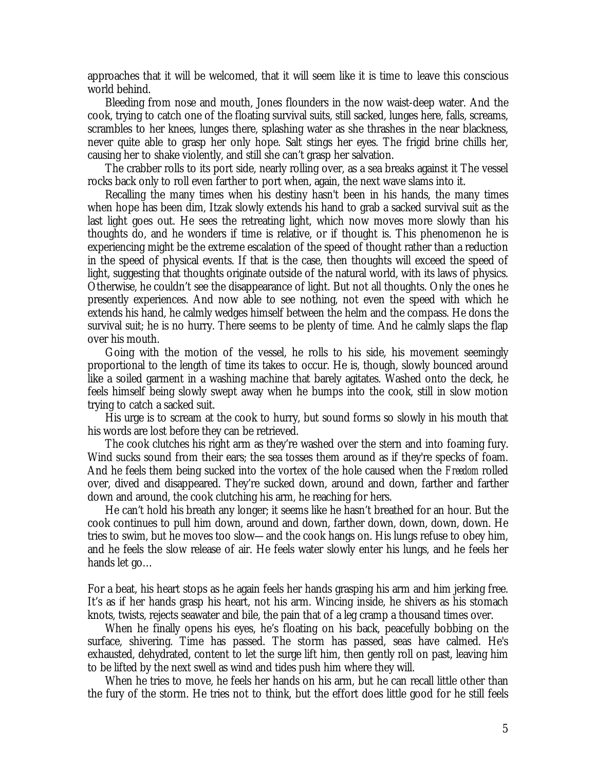approaches that it will be welcomed, that it will seem like it is time to leave this conscious world behind.

Bleeding from nose and mouth, Jones flounders in the now waist-deep water. And the cook, trying to catch one of the floating survival suits, still sacked, lunges here, falls, screams, scrambles to her knees, lunges there, splashing water as she thrashes in the near blackness, never quite able to grasp her only hope. Salt stings her eyes. The frigid brine chills her, causing her to shake violently, and still she can't grasp her salvation.

The crabber rolls to its port side, nearly rolling over, as a sea breaks against it The vessel rocks back only to roll even farther to port when, again, the next wave slams into it.

Recalling the many times when his destiny hasn't been in his hands, the many times when hope has been dim, Itzak slowly extends his hand to grab a sacked survival suit as the last light goes out. He sees the retreating light, which now moves more slowly than his thoughts do, and he wonders if time is relative, or if thought is. This phenomenon he is experiencing might be the extreme escalation of the speed of thought rather than a reduction in the speed of physical events. If that is the case, then thoughts will exceed the speed of light, suggesting that thoughts originate outside of the natural world, with its laws of physics. Otherwise, he couldn't see the disappearance of light. But not all thoughts. Only the ones he presently experiences. And now able to see nothing, not even the speed with which he extends his hand, he calmly wedges himself between the helm and the compass. He dons the survival suit; he is no hurry. There seems to be plenty of time. And he calmly slaps the flap over his mouth.

Going with the motion of the vessel, he rolls to his side, his movement seemingly proportional to the length of time its takes to occur. He is, though, slowly bounced around like a soiled garment in a washing machine that barely agitates. Washed onto the deck, he feels himself being slowly swept away when he bumps into the cook, still in slow motion trying to catch a sacked suit.

His urge is to scream at the cook to hurry, but sound forms so slowly in his mouth that his words are lost before they can be retrieved.

The cook clutches his right arm as they're washed over the stern and into foaming fury. Wind sucks sound from their ears; the sea tosses them around as if they're specks of foam. And he feels them being sucked into the vortex of the hole caused when the *Freedom* rolled over, dived and disappeared. They're sucked down, around and down, farther and farther down and around, the cook clutching his arm, he reaching for hers.

He can't hold his breath any longer; it seems like he hasn't breathed for an hour. But the cook continues to pull him down, around and down, farther down, down, down, down. He tries to swim, but he moves too slow— and the cook hangs on. His lungs refuse to obey him, and he feels the slow release of air. He feels water slowly enter his lungs, and he feels her hands let go…

For a beat, his heart stops as he again feels her hands grasping his arm and him jerking free. It's as if her hands grasp his heart, not his arm. Wincing inside, he shivers as his stomach knots, twists, rejects seawater and bile, the pain that of a leg cramp a thousand times over.

When he finally opens his eyes, he's floating on his back, peacefully bobbing on the surface, shivering. Time has passed. The storm has passed, seas have calmed. He's exhausted, dehydrated, content to let the surge lift him, then gently roll on past, leaving him to be lifted by the next swell as wind and tides push him where they will.

When he tries to move, he feels her hands on his arm, but he can recall little other than the fury of the storm. He tries not to think, but the effort does little good for he still feels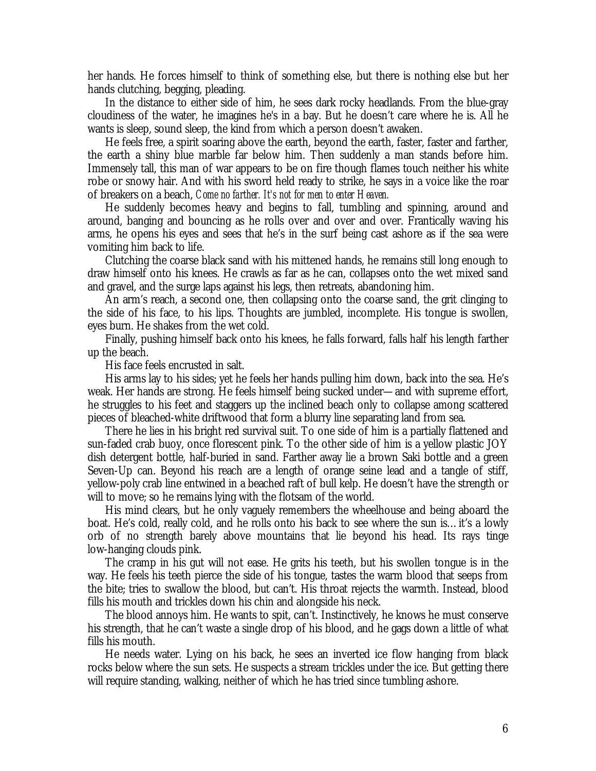her hands. He forces himself to think of something else, but there is nothing else but her hands clutching, begging, pleading.

In the distance to either side of him, he sees dark rocky headlands. From the blue-gray cloudiness of the water, he imagines he's in a bay. But he doesn't care where he is. All he wants is sleep, sound sleep, the kind from which a person doesn't awaken.

He feels free, a spirit soaring above the earth, beyond the earth, faster, faster and farther, the earth a shiny blue marble far below him. Then suddenly a man stands before him. Immensely tall, this man of war appears to be on fire though flames touch neither his white robe or snowy hair. And with his sword held ready to strike, he says in a voice like the roar of breakers on a beach, *Come no farther. It's not for men to enter Heaven.*

He suddenly becomes heavy and begins to fall, tumbling and spinning, around and around, banging and bouncing as he rolls over and over and over. Frantically waving his arms, he opens his eyes and sees that he's in the surf being cast ashore as if the sea were vomiting him back to life.

Clutching the coarse black sand with his mittened hands, he remains still long enough to draw himself onto his knees. He crawls as far as he can, collapses onto the wet mixed sand and gravel, and the surge laps against his legs, then retreats, abandoning him.

An arm's reach, a second one, then collapsing onto the coarse sand, the grit clinging to the side of his face, to his lips. Thoughts are jumbled, incomplete. His tongue is swollen, eyes burn. He shakes from the wet cold.

Finally, pushing himself back onto his knees, he falls forward, falls half his length farther up the beach.

His face feels encrusted in salt.

His arms lay to his sides; yet he feels her hands pulling him down, back into the sea. He's weak. Her hands are strong. He feels himself being sucked under— and with supreme effort, he struggles to his feet and staggers up the inclined beach only to collapse among scattered pieces of bleached-white driftwood that form a blurry line separating land from sea.

There he lies in his bright red survival suit. To one side of him is a partially flattened and sun-faded crab buoy, once florescent pink. To the other side of him is a yellow plastic JOY dish detergent bottle, half-buried in sand. Farther away lie a brown Saki bottle and a green Seven-Up can. Beyond his reach are a length of orange seine lead and a tangle of stiff, yellow-poly crab line entwined in a beached raft of bull kelp. He doesn't have the strength or will to move; so he remains lying with the flotsam of the world.

His mind clears, but he only vaguely remembers the wheelhouse and being aboard the boat. He's cold, really cold, and he rolls onto his back to see where the sun is… it's a lowly orb of no strength barely above mountains that lie beyond his head. Its rays tinge low-hanging clouds pink.

The cramp in his gut will not ease. He grits his teeth, but his swollen tongue is in the way. He feels his teeth pierce the side of his tongue, tastes the warm blood that seeps from the bite; tries to swallow the blood, but can't. His throat rejects the warmth. Instead, blood fills his mouth and trickles down his chin and alongside his neck.

The blood annoys him. He wants to spit, can't. Instinctively, he knows he must conserve his strength, that he can't waste a single drop of his blood, and he gags down a little of what fills his mouth.

He needs water. Lying on his back, he sees an inverted ice flow hanging from black rocks below where the sun sets. He suspects a stream trickles under the ice. But getting there will require standing, walking, neither of which he has tried since tumbling ashore.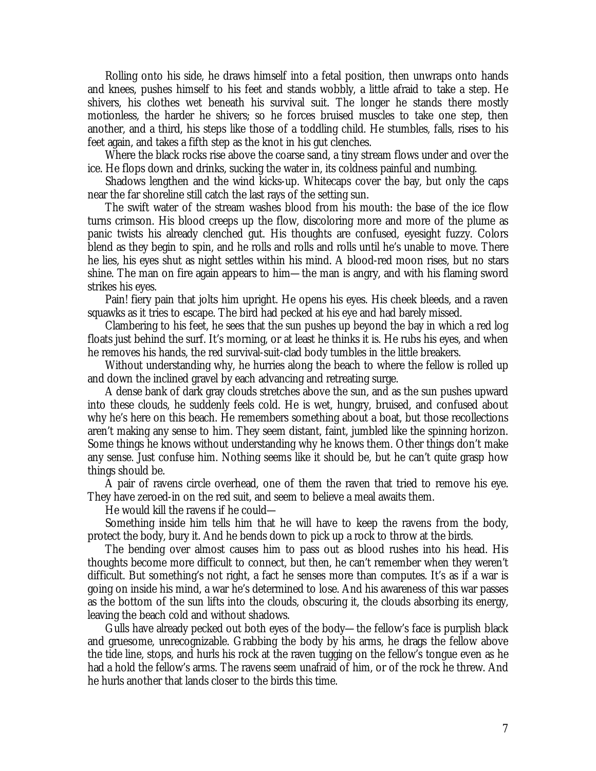Rolling onto his side, he draws himself into a fetal position, then unwraps onto hands and knees, pushes himself to his feet and stands wobbly, a little afraid to take a step. He shivers, his clothes wet beneath his survival suit. The longer he stands there mostly motionless, the harder he shivers; so he forces bruised muscles to take one step, then another, and a third, his steps like those of a toddling child. He stumbles, falls, rises to his feet again, and takes a fifth step as the knot in his gut clenches.

Where the black rocks rise above the coarse sand, a tiny stream flows under and over the ice. He flops down and drinks, sucking the water in, its coldness painful and numbing.

Shadows lengthen and the wind kicks-up. Whitecaps cover the bay, but only the caps near the far shoreline still catch the last rays of the setting sun.

The swift water of the stream washes blood from his mouth: the base of the ice flow turns crimson. His blood creeps up the flow, discoloring more and more of the plume as panic twists his already clenched gut. His thoughts are confused, eyesight fuzzy. Colors blend as they begin to spin, and he rolls and rolls and rolls until he's unable to move. There he lies, his eyes shut as night settles within his mind. A blood-red moon rises, but no stars shine. The man on fire again appears to him— the man is angry, and with his flaming sword strikes his eyes.

Pain! fiery pain that jolts him upright. He opens his eyes. His cheek bleeds, and a raven squawks as it tries to escape. The bird had pecked at his eye and had barely missed.

Clambering to his feet, he sees that the sun pushes up beyond the bay in which a red log floats just behind the surf. It's morning, or at least he thinks it is. He rubs his eyes, and when he removes his hands, the red survival-suit-clad body tumbles in the little breakers.

Without understanding why, he hurries along the beach to where the fellow is rolled up and down the inclined gravel by each advancing and retreating surge.

A dense bank of dark gray clouds stretches above the sun, and as the sun pushes upward into these clouds, he suddenly feels cold. He is wet, hungry, bruised, and confused about why he's here on this beach. He remembers something about a boat, but those recollections aren't making any sense to him. They seem distant, faint, jumbled like the spinning horizon. Some things he knows without understanding why he knows them. Other things don't make any sense. Just confuse him. Nothing seems like it should be, but he can't quite grasp how things should be.

A pair of ravens circle overhead, one of them the raven that tried to remove his eye. They have zeroed-in on the red suit, and seem to believe a meal awaits them.

He would kill the ravens if he could—

Something inside him tells him that he will have to keep the ravens from the body, protect the body, bury it. And he bends down to pick up a rock to throw at the birds.

The bending over almost causes him to pass out as blood rushes into his head. His thoughts become more difficult to connect, but then, he can't remember when they weren't difficult. But something's not right, a fact he senses more than computes. It's as if a war is going on inside his mind, a war he's determined to lose. And his awareness of this war passes as the bottom of the sun lifts into the clouds, obscuring it, the clouds absorbing its energy, leaving the beach cold and without shadows.

Gulls have already pecked out both eyes of the body— the fellow's face is purplish black and gruesome, unrecognizable. Grabbing the body by his arms, he drags the fellow above the tide line, stops, and hurls his rock at the raven tugging on the fellow's tongue even as he had a hold the fellow's arms. The ravens seem unafraid of him, or of the rock he threw. And he hurls another that lands closer to the birds this time.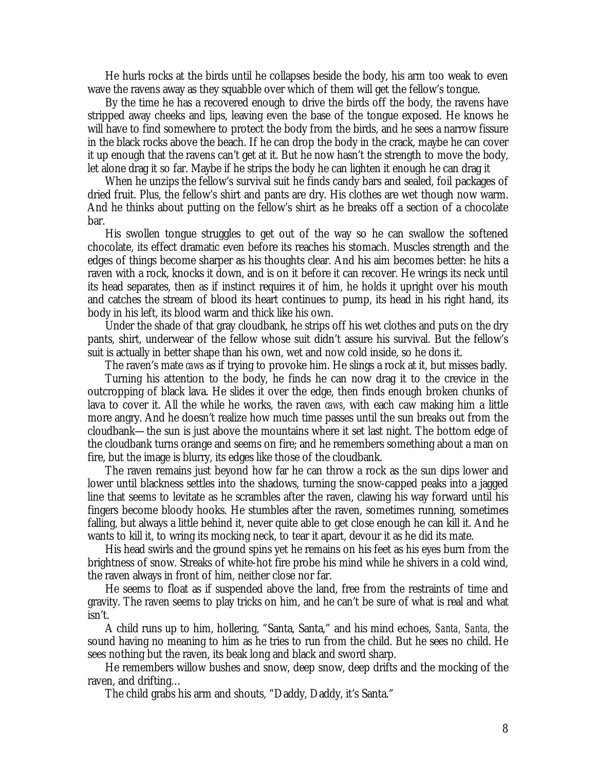He hurls rocks at the birds until he collapses beside the body, his arm too weak to even wave the ravens away as they squabble over which of them will get the fellow's tongue.

By the time he has a recovered enough to drive the birds off the body, the ravens have stripped away cheeks and lips, leaving even the base of the tongue exposed. He knows he will have to find somewhere to protect the body from the birds, and he sees a narrow fissure in the black rocks above the beach. If he can drop the body in the crack, maybe he can cover it up enough that the ravens can't get at it. But he now hasn't the strength to move the body, let alone drag it so far. Maybe if he strips the body he can lighten it enough he can drag it

When he unzips the fellow's survival suit he finds candy bars and sealed, foil packages of dried fruit. Plus, the fellow's shirt and pants are dry. His clothes are wet though now warm. And he thinks about putting on the fellow's shirt as he breaks off a section of a chocolate bar.

His swollen tongue struggles to get out of the way so he can swallow the softened chocolate, its effect dramatic even before its reaches his stomach. Muscles strength and the edges of things become sharper as his thoughts clear. And his aim becomes better: he hits a raven with a rock, knocks it down, and is on it before it can recover. He wrings its neck until its head separates, then as if instinct requires it of him, he holds it upright over his mouth and catches the stream of blood its heart continues to pump, its head in his right hand, its body in his left, its blood warm and thick like his own.

Under the shade of that gray cloudbank, he strips off his wet clothes and puts on the dry pants, shirt, underwear of the fellow whose suit didn't assure his survival. But the fellow's suit is actually in better shape than his own, wet and now cold inside, so he dons it.

The raven's mate *caws* as if trying to provoke him. He slings a rock at it, but misses badly. Turning his attention to the body, he finds he can now drag it to the crevice in the outcropping of black lava. He slides it over the edge, then finds enough broken chunks of lava to cover it. All the while he works, the raven *caws*, with each caw making him a little more angry. And he doesn't realize how much time passes until the sun breaks out from the cloudbank— the sun is just above the mountains where it set last night. The bottom edge of the cloudbank turns orange and seems on fire; and he remembers something about a man on fire, but the image is blurry, its edges like those of the cloudbank.

The raven remains just beyond how far he can throw a rock as the sun dips lower and lower until blackness settles into the shadows, turning the snow-capped peaks into a jagged line that seems to levitate as he scrambles after the raven, clawing his way forward until his fingers become bloody hooks. He stumbles after the raven, sometimes running, sometimes falling, but always a little behind it, never quite able to get close enough he can kill it. And he wants to kill it, to wring its mocking neck, to tear it apart, devour it as he did its mate.

His head swirls and the ground spins yet he remains on his feet as his eyes burn from the brightness of snow. Streaks of white-hot fire probe his mind while he shivers in a cold wind, the raven always in front of him, neither close nor far.

He seems to float as if suspended above the land, free from the restraints of time and gravity. The raven seems to play tricks on him, and he can't be sure of what is real and what isn't.

A child runs up to him, hollering, "Santa, Santa," and his mind echoes, *Santa, Santa,* the sound having no meaning to him as he tries to run from the child. But he sees no child. He sees nothing but the raven, its beak long and black and sword sharp.

He remembers willow bushes and snow, deep snow, deep drifts and the mocking of the raven, and drifting…

The child grabs his arm and shouts, "Daddy, Daddy, it's Santa."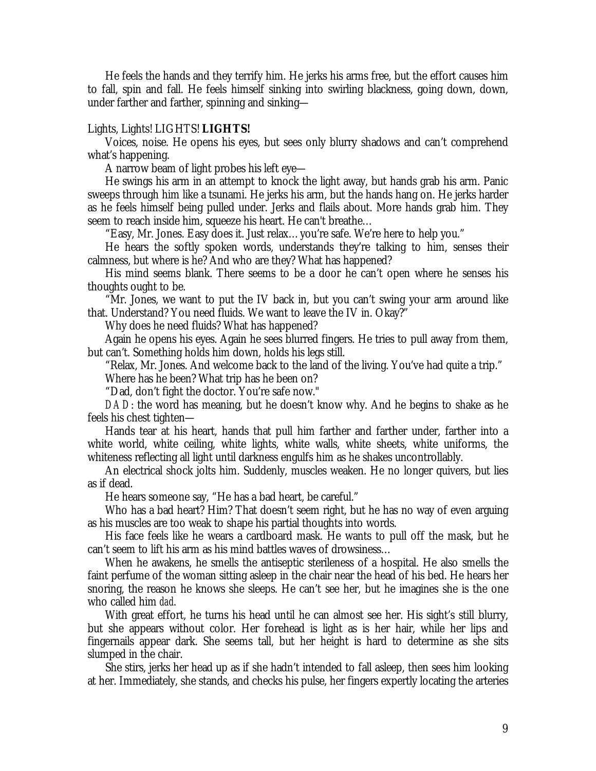He feels the hands and they terrify him. He jerks his arms free, but the effort causes him to fall, spin and fall. He feels himself sinking into swirling blackness, going down, down, under farther and farther, spinning and sinking—

## Lights, Lights! LIGHTS! **LIGHTS!**

Voices, noise. He opens his eyes, but sees only blurry shadows and can't comprehend what's happening.

A narrow beam of light probes his left eye—

He swings his arm in an attempt to knock the light away, but hands grab his arm. Panic sweeps through him like a tsunami. He jerks his arm, but the hands hang on. He jerks harder as he feels himself being pulled under. Jerks and flails about. More hands grab him. They seem to reach inside him, squeeze his heart. He can't breathe…

"Easy, Mr. Jones. Easy does it. Just relax… you're safe. We're here to help you."

He hears the softly spoken words, understands they're talking to him, senses their calmness, but where is he? And who are they? What has happened?

His mind seems blank. There seems to be a door he can't open where he senses his thoughts ought to be.

"Mr. Jones, we want to put the IV back in, but you can't swing your arm around like that. Understand? You need fluids. We want to leave the IV in. Okay?"

Why does he need fluids? What has happened?

Again he opens his eyes. Again he sees blurred fingers. He tries to pull away from them, but can't. Something holds him down, holds his legs still.

"Relax, Mr. Jones. And welcome back to the land of the living. You've had quite a trip." Where has he been? What trip has he been on?

"Dad, don't fight the doctor. You're safe now."

*DAD*: the word has meaning, but he doesn't know why. And he begins to shake as he feels his chest tighten—

Hands tear at his heart, hands that pull him farther and farther under, farther into a white world, white ceiling, white lights, white walls, white sheets, white uniforms, the whiteness reflecting all light until darkness engulfs him as he shakes uncontrollably.

An electrical shock jolts him. Suddenly, muscles weaken. He no longer quivers, but lies as if dead.

He hears someone say, "He has a bad heart, be careful."

Who has a bad heart? Him? That doesn't seem right, but he has no way of even arguing as his muscles are too weak to shape his partial thoughts into words.

His face feels like he wears a cardboard mask. He wants to pull off the mask, but he can't seem to lift his arm as his mind battles waves of drowsiness…

When he awakens, he smells the antiseptic sterileness of a hospital. He also smells the faint perfume of the woman sitting asleep in the chair near the head of his bed. He hears her snoring, the reason he knows she sleeps. He can't see her, but he imagines she is the one who called him *dad*.

With great effort, he turns his head until he can almost see her. His sight's still blurry, but she appears without color. Her forehead is light as is her hair, while her lips and fingernails appear dark. She seems tall, but her height is hard to determine as she sits slumped in the chair.

She stirs, jerks her head up as if she hadn't intended to fall asleep, then sees him looking at her. Immediately, she stands, and checks his pulse, her fingers expertly locating the arteries